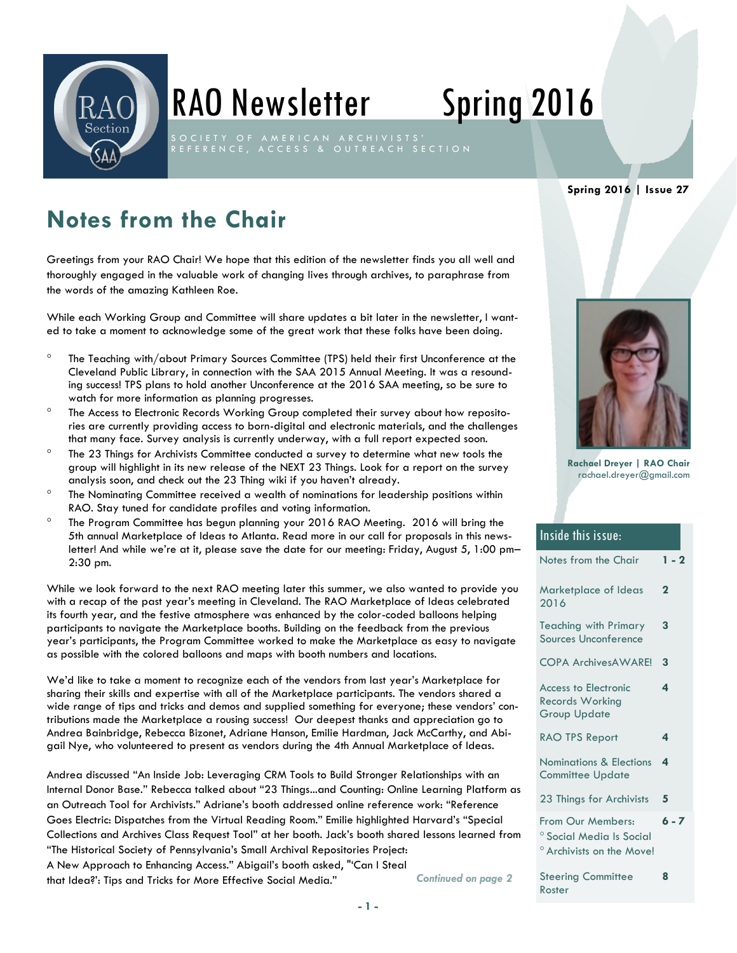

# RAO Newsletter Spring 2016

R E F E R E N C E , A C C E S S & O U T R E A C H S E C T I O N

#### **Spring 2016 | Issue 27**

## **Notes from the Chair**

Greetings from your RAO Chair! We hope that this edition of the newsletter finds you all well and thoroughly engaged in the valuable work of changing lives through archives, to paraphrase from the words of the amazing Kathleen Roe.

While each Working Group and Committee will share updates a bit later in the newsletter, I wanted to take a moment to acknowledge some of the great work that these folks have been doing.

- The Teaching with/about Primary Sources Committee (TPS) held their first Unconference at the Cleveland Public Library, in connection with the SAA 2015 Annual Meeting. It was a resounding success! TPS plans to hold another Unconference at the 2016 SAA meeting, so be sure to watch for more information as planning progresses.
- The Access to Electronic Records Working Group completed their survey about how repositories are currently providing access to born-digital and electronic materials, and the challenges that many face. Survey analysis is currently underway, with a full report expected soon.
- $\degree$  The 23 Things for Archivists Committee conducted a survey to determine what new tools the group will highlight in its new release of the NEXT 23 Things. Look for a report on the survey analysis soon, and check out the 23 Thing wiki if you haven't already.
- The Nominating Committee received a wealth of nominations for leadership positions within RAO. Stay tuned for candidate profiles and voting information.
- The Program Committee has begun planning your 2016 RAO Meeting. 2016 will bring the 5th annual Marketplace of Ideas to Atlanta. Read more in our call for proposals in this newsletter! And while we're at it, please save the date for our meeting: Friday, August 5, 1:00 pm– 2:30 pm.

While we look forward to the next RAO meeting later this summer, we also wanted to provide you with a recap of the past year's meeting in Cleveland. The RAO Marketplace of Ideas celebrated its fourth year, and the festive atmosphere was enhanced by the color-coded balloons helping participants to navigate the Marketplace booths. Building on the feedback from the previous year's participants, the Program Committee worked to make the Marketplace as easy to navigate as possible with the colored balloons and maps with booth numbers and locations.

We'd like to take a moment to recognize each of the vendors from last year's Marketplace for sharing their skills and expertise with all of the Marketplace participants. The vendors shared a wide range of tips and tricks and demos and supplied something for everyone; these vendors' contributions made the Marketplace a rousing success! Our deepest thanks and appreciation go to Andrea Bainbridge, Rebecca Bizonet, Adriane Hanson, Emilie Hardman, Jack McCarthy, and Abigail Nye, who volunteered to present as vendors during the 4th Annual Marketplace of Ideas.

Andrea discussed "An Inside Job: Leveraging CRM Tools to Build Stronger Relationships with an Internal Donor Base." Rebecca talked about "23 Things...and Counting: Online Learning Platform as an Outreach Tool for Archivists." Adriane's booth addressed online reference work: "Reference Goes Electric: Dispatches from the Virtual Reading Room." Emilie highlighted Harvard's "Special Collections and Archives Class Request Tool" at her booth. Jack's booth shared lessons learned from "The Historical Society of Pennsylvania's Small Archival Repositories Project: A New Approach to Enhancing Access." Abigail's booth asked, "'Can I Steal

that Idea?': Tips and Tricks for More Effective Social Media."



**Rachael Dreyer | RAO Chair** rachael.dreyer@gmail.com

| <b>Inside this issue:</b>                                                                        |         |
|--------------------------------------------------------------------------------------------------|---------|
| Notes from the Chair                                                                             | $1 - 2$ |
| Marketplace of Ideas<br>2016                                                                     | 2       |
| <b>Teaching with Primary</b><br>Sources Unconference                                             | 3       |
| <b>COPA ArchivesAWARE!</b>                                                                       | 3       |
| <b>Access to Electronic</b><br><b>Records Working</b><br><b>Group Update</b>                     | 4       |
| <b>RAO TPS Report</b>                                                                            | 4       |
| Nominations & Elections<br><b>Committee Update</b>                                               | 4       |
| 23 Things for Archivists                                                                         | 5       |
| From Our Members:<br><sup>o</sup> Social Media Is Social<br><sup>o</sup> Archivists on the Move! | $6 - 7$ |
| <b>Steering Committee</b><br>Roster                                                              | 8       |

**- 1 -**

*Continued on page 2*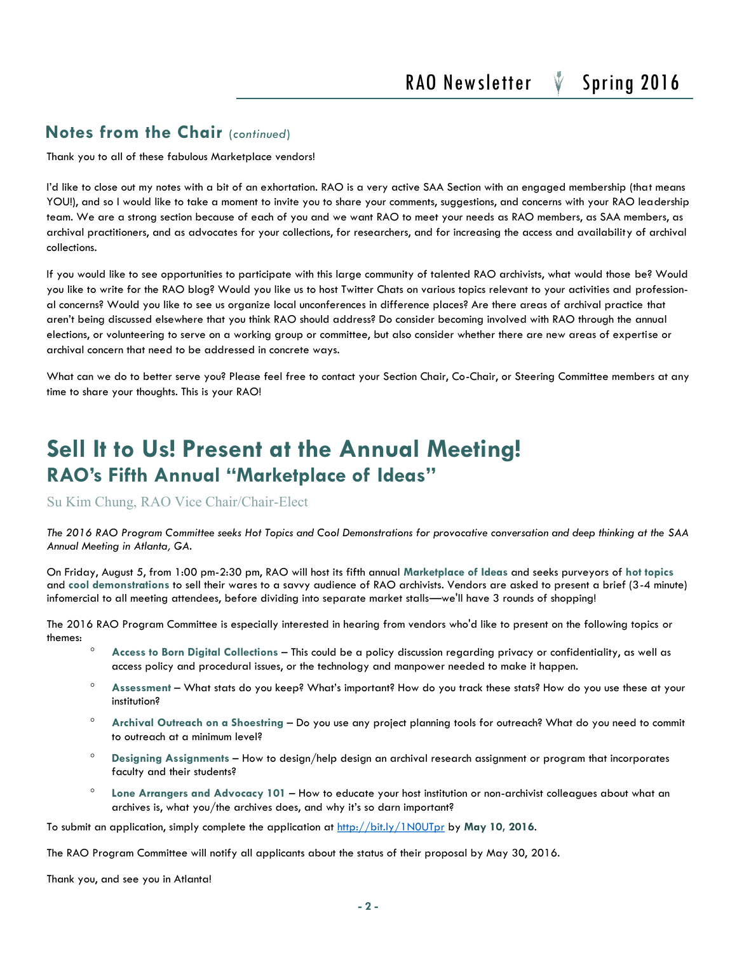#### **Notes from the Chair** (*continued*)

Thank you to all of these fabulous Marketplace vendors!

I'd like to close out my notes with a bit of an exhortation. RAO is a very active SAA Section with an engaged membership (that means YOU!), and so I would like to take a moment to invite you to share your comments, suggestions, and concerns with your RAO leadership team. We are a strong section because of each of you and we want RAO to meet your needs as RAO members, as SAA members, as archival practitioners, and as advocates for your collections, for researchers, and for increasing the access and availability of archival collections.

If you would like to see opportunities to participate with this large community of talented RAO archivists, what would those be? Would you like to write for the RAO blog? Would you like us to host Twitter Chats on various topics relevant to your activities and professional concerns? Would you like to see us organize local unconferences in difference places? Are there areas of archival practice that aren't being discussed elsewhere that you think RAO should address? Do consider becoming involved with RAO through the annual elections, or volunteering to serve on a working group or committee, but also consider whether there are new areas of expertise or archival concern that need to be addressed in concrete ways.

What can we do to better serve you? Please feel free to contact your Section Chair, Co-Chair, or Steering Committee members at any time to share your thoughts. This is your RAO!

### **Sell It to Us! Present at the Annual Meeting! RAO's Fifth Annual "Marketplace of Ideas"**

Su Kim Chung, RAO Vice Chair/Chair-Elect

*The 2016 RAO Program Committee seeks Hot Topics and Cool Demonstrations for provocative conversation and deep thinking at the SAA Annual Meeting in Atlanta, GA.*

On Friday, August 5, from 1:00 pm-2:30 pm, RAO will host its fifth annual **Marketplace of Ideas** and seeks purveyors of **hot topics**  and **cool demonstrations** to sell their wares to a savvy audience of RAO archivists. Vendors are asked to present a brief (3-4 minute) infomercial to all meeting attendees, before dividing into separate market stalls—we'll have 3 rounds of shopping!

The 2016 RAO Program Committee is especially interested in hearing from vendors who'd like to present on the following topics or themes:

- <sup>o</sup> Access to Born Digital Collections This could be a policy discussion regarding privacy or confidentiality, as well as access policy and procedural issues, or the technology and manpower needed to make it happen.
- **Assessment**  What stats do you keep? What's important? How do you track these stats? How do you use these at your institution?
- **Archival Outreach on a Shoestring**  Do you use any project planning tools for outreach? What do you need to commit to outreach at a minimum level?
- **Designing Assignments**  How to design/help design an archival research assignment or program that incorporates faculty and their students?
- **Lone Arrangers and Advocacy 101**  How to educate your host institution or non-archivist colleagues about what an archives is, what you/the archives does, and why it's so darn important?

To submit an application, simply complete the application at<http://bit.ly/1N0UTpr> by **May 10, 2016**.

The RAO Program Committee will notify all applicants about the status of their proposal by May 30, 2016.

Thank you, and see you in Atlanta!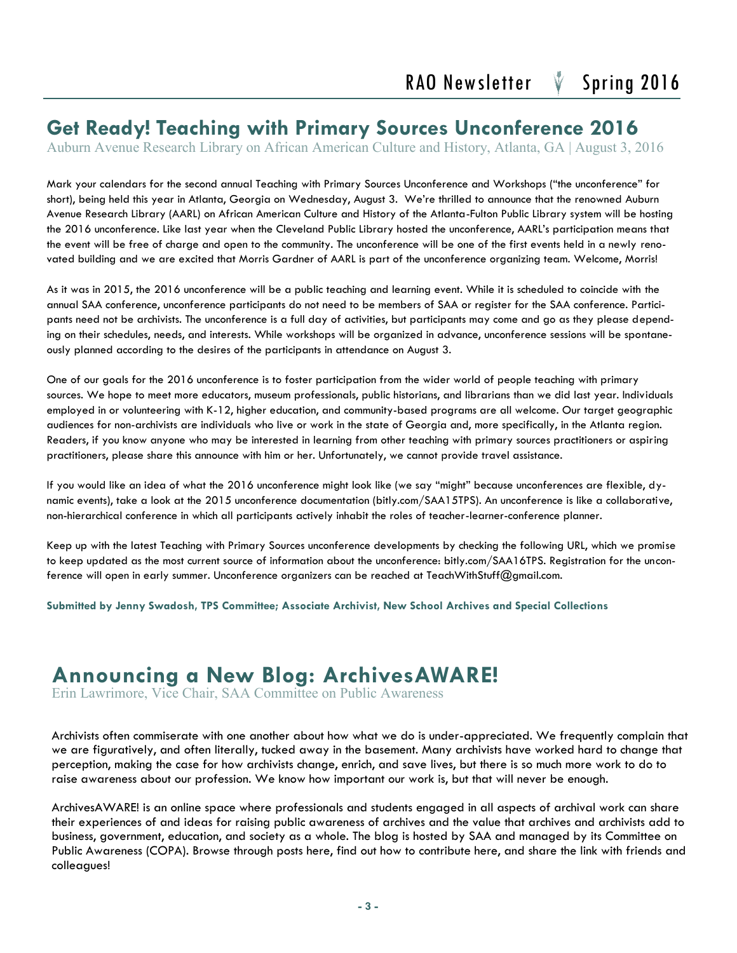### **Get Ready! Teaching with Primary Sources Unconference 2016**

Auburn Avenue Research Library on African American Culture and History, Atlanta, GA | August 3, 2016

Mark your calendars for the second annual Teaching with Primary Sources Unconference and Workshops ("the unconference" for short), being held this year in Atlanta, Georgia on Wednesday, August 3. We're thrilled to announce that the renowned Auburn Avenue Research Library (AARL) on African American Culture and History of the Atlanta-Fulton Public Library system will be hosting the 2016 unconference. Like last year when the Cleveland Public Library hosted the unconference, AARL's participation means that the event will be free of charge and open to the community. The unconference will be one of the first events held in a newly renovated building and we are excited that Morris Gardner of AARL is part of the unconference organizing team. Welcome, Morris!

As it was in 2015, the 2016 unconference will be a public teaching and learning event. While it is scheduled to coincide with the annual SAA conference, unconference participants do not need to be members of SAA or register for the SAA conference. Participants need not be archivists. The unconference is a full day of activities, but participants may come and go as they please depending on their schedules, needs, and interests. While workshops will be organized in advance, unconference sessions will be spontaneously planned according to the desires of the participants in attendance on August 3.

One of our goals for the 2016 unconference is to foster participation from the wider world of people teaching with primary sources. We hope to meet more educators, museum professionals, public historians, and librarians than we did last year. Individuals employed in or volunteering with K-12, higher education, and community-based programs are all welcome. Our target geographic audiences for non-archivists are individuals who live or work in the state of Georgia and, more specifically, in the Atlanta region. Readers, if you know anyone who may be interested in learning from other teaching with primary sources practitioners or aspiring practitioners, please share this announce with him or her. Unfortunately, we cannot provide travel assistance.

If you would like an idea of what the 2016 unconference might look like (we say "might" because unconferences are flexible, dynamic events), take a look at the 2015 unconference documentation (bitly.com/SAA15TPS). An unconference is like a collaborative, non-hierarchical conference in which all participants actively inhabit the roles of teacher-learner-conference planner.

Keep up with the latest Teaching with Primary Sources unconference developments by checking the following URL, which we promise to keep updated as the most current source of information about the unconference: bitly.com/SAA16TPS. Registration for the unconference will open in early summer. Unconference organizers can be reached at TeachWithStuff@gmail.com.

**Submitted by Jenny Swadosh, TPS Committee; Associate Archivist, New School Archives and Special Collections** 

### **Announcing a New Blog: ArchivesAWARE!**

Erin Lawrimore, Vice Chair, SAA Committee on Public Awareness

Archivists often commiserate with one another about how what we do is under-appreciated. We frequently complain that we are figuratively, and often literally, tucked away in the basement. Many archivists have worked hard to change that perception, making the case for how archivists change, enrich, and save lives, but there is so much more work to do to raise awareness about our profession. We know how important our work is, but that will never be enough.

ArchivesAWARE! is an online space where professionals and students engaged in all aspects of archival work can share their experiences of and ideas for raising public awareness of archives and the value that archives and archivists add to business, government, education, and society as a whole. The blog is hosted by SAA and managed by its Committee on Public Awareness (COPA). Browse through posts here, find out how to contribute here, and share the link with friends and colleagues!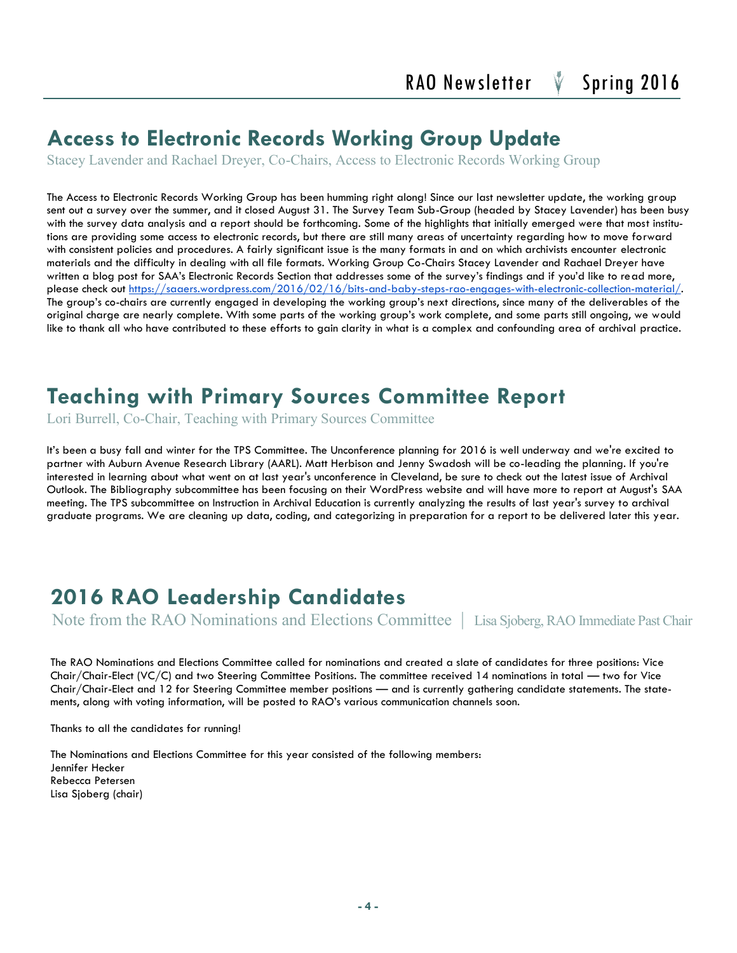### **Access to Electronic Records Working Group Update**

Stacey Lavender and Rachael Dreyer, Co-Chairs, Access to Electronic Records Working Group

The Access to Electronic Records Working Group has been humming right along! Since our last newsletter update, the working group sent out a survey over the summer, and it closed August 31. The Survey Team Sub-Group (headed by Stacey Lavender) has been busy with the survey data analysis and a report should be forthcoming. Some of the highlights that initially emerged were that most institutions are providing some access to electronic records, but there are still many areas of uncertainty regarding how to move forward with consistent policies and procedures. A fairly significant issue is the many formats in and on which archivists encounter electronic materials and the difficulty in dealing with all file formats. Working Group Co-Chairs Stacey Lavender and Rachael Dreyer have written a blog post for SAA's Electronic Records Section that addresses some of the survey's findings and if you'd like to read more, please check out [https://saaers.wordpress.com/2016/02/16/bits-and-baby-steps-rao-engages-with-electronic-collection-material/.](https://saaers.wordpress.com/2016/02/16/bits-and-baby-steps-rao-engages-with-electronic-collection-material/) The group's co-chairs are currently engaged in developing the working group's next directions, since many of the deliverables of the original charge are nearly complete. With some parts of the working group's work complete, and some parts still ongoing, we would like to thank all who have contributed to these efforts to gain clarity in what is a complex and confounding area of archival practice.

### **Teaching with Primary Sources Committee Report**

Lori Burrell, Co-Chair, Teaching with Primary Sources Committee

It's been a busy fall and winter for the TPS Committee. The Unconference planning for 2016 is well underway and we're excited to partner with Auburn Avenue Research Library (AARL). Matt Herbison and Jenny Swadosh will be co-leading the planning. If you're interested in learning about what went on at last year's unconference in Cleveland, be sure to check out the latest issue of Archival Outlook. The Bibliography subcommittee has been focusing on their WordPress website and will have more to report at August's SAA meeting. The TPS subcommittee on Instruction in Archival Education is currently analyzing the results of last year's survey to archival graduate programs. We are cleaning up data, coding, and categorizing in preparation for a report to be delivered later this year.

### **2016 RAO Leadership Candidates**

Note from the RAO Nominations and Elections Committee | Lisa Sjoberg, RAO Immediate Past Chair

The RAO Nominations and Elections Committee called for nominations and created a slate of candidates for three positions: Vice Chair/Chair-Elect (VC/C) and two Steering Committee Positions. The committee received 14 nominations in total — two for Vice Chair/Chair-Elect and 12 for Steering Committee member positions — and is currently gathering candidate statements. The statements, along with voting information, will be posted to RAO's various communication channels soon.

Thanks to all the candidates for running!

The Nominations and Elections Committee for this year consisted of the following members: Jennifer Hecker Rebecca Petersen Lisa Sjoberg (chair)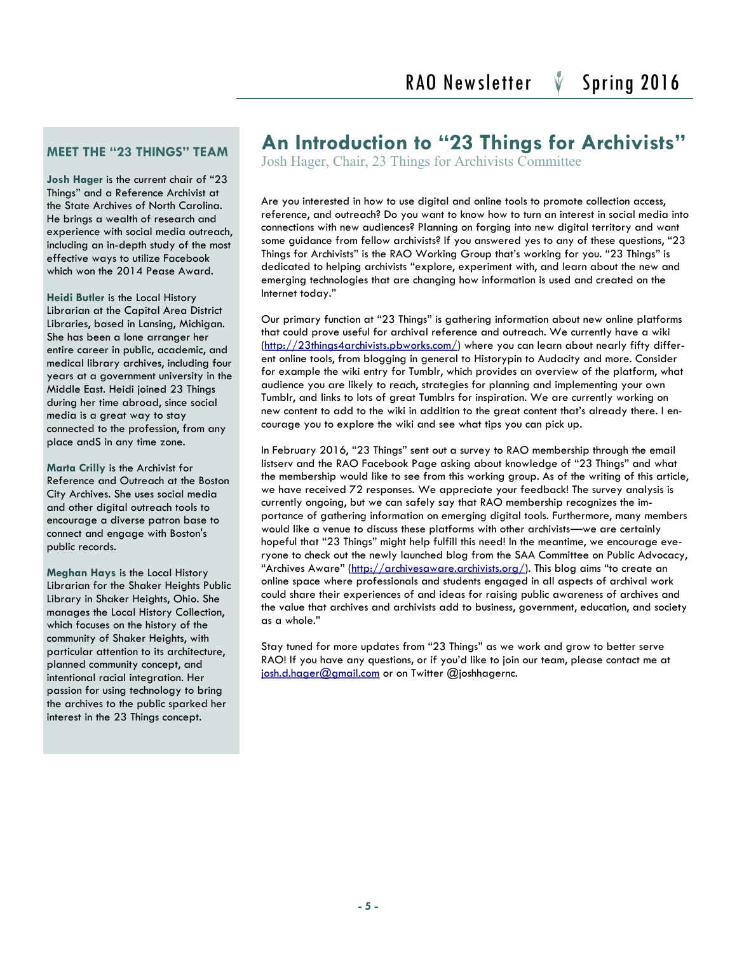#### **MEET THE "23 THINGS" TEAM**

**Josh Hager** is the current chair of "23 Things" and a Reference Archivist at the State Archives of North Carolina. He brings a wealth of research and experience with social media outreach, including an in-depth study of the most effective ways to utilize Facebook which won the 2014 Pease Award.

**Heidi Butler** is the Local History Librarian at the Capital Area District Libraries, based in Lansing, Michigan. She has been a lone arranger her entire career in public, academic, and medical library archives, including four years at a government university in the Middle East. Heidi joined 23 Things during her time abroad, since social media is a great way to stay connected to the profession, from any place andS in any time zone.

**Marta Crilly** is the Archivist for Reference and Outreach at the Boston City Archives. She uses social media and other digital outreach tools to encourage a diverse patron base to connect and engage with Boston's public records.

**Meghan Hays** is the Local History Librarian for the Shaker Heights Public Library in Shaker Heights, Ohio. She manages the Local History Collection, which focuses on the history of the community of Shaker Heights, with particular attention to its architecture, planned community concept, and intentional racial integration. Her passion for using technology to bring the archives to the public sparked her interest in the 23 Things concept.

### **An Introduction to "23 Things for Archivists"**

Josh Hager, Chair, 23 Things for Archivists Committee

Are you interested in how to use digital and online tools to promote collection access, reference, and outreach? Do you want to know how to turn an interest in social media into connections with new audiences? Planning on forging into new digital territory and want some guidance from fellow archivists? If you answered yes to any of these questions, "23 Things for Archivists" is the RAO Working Group that's working for you. "23 Things" is dedicated to helping archivists "explore, experiment with, and learn about the new and emerging technologies that are changing how information is used and created on the Internet today."

Our primary function at "23 Things" is gathering information about new online platforms that could prove useful for archival reference and outreach. We currently have a wiki ([http://23things4archivists.pbworks.com/\)](http://23things4archivists.pbworks.com/) where you can learn about nearly fifty different online tools, from blogging in general to Historypin to Audacity and more. Consider for example the wiki entry for Tumblr, which provides an overview of the platform, what audience you are likely to reach, strategies for planning and implementing your own Tumblr, and links to lots of great Tumblrs for inspiration. We are currently working on new content to add to the wiki in addition to the great content that's already there. I encourage you to explore the wiki and see what tips you can pick up.

In February 2016, "23 Things" sent out a survey to RAO membership through the email listserv and the RAO Facebook Page asking about knowledge of "23 Things" and what the membership would like to see from this working group. As of the writing of this article, we have received 72 responses. We appreciate your feedback! The survey analysis is currently ongoing, but we can safely say that RAO membership recognizes the importance of gathering information on emerging digital tools. Furthermore, many members would like a venue to discuss these platforms with other archivists—we are certainly hopeful that "23 Things" might help fulfill this need! In the meantime, we encourage everyone to check out the newly launched blog from the SAA Committee on Public Advocacy, "Archives Aware" (<http://archivesaware.archivists.org/>). This blog aims "to create an online space where professionals and students engaged in all aspects of archival work could share their experiences of and ideas for raising public awareness of archives and the value that archives and archivists add to business, government, education, and society as a whole."

Stay tuned for more updates from "23 Things" as we work and grow to better serve RAO! If you have any questions, or if you'd like to join our team, please contact me at [josh.d.hager@gmail.com](mailto:josh.d.hager@gmail.com) or on Twitter @joshhagernc.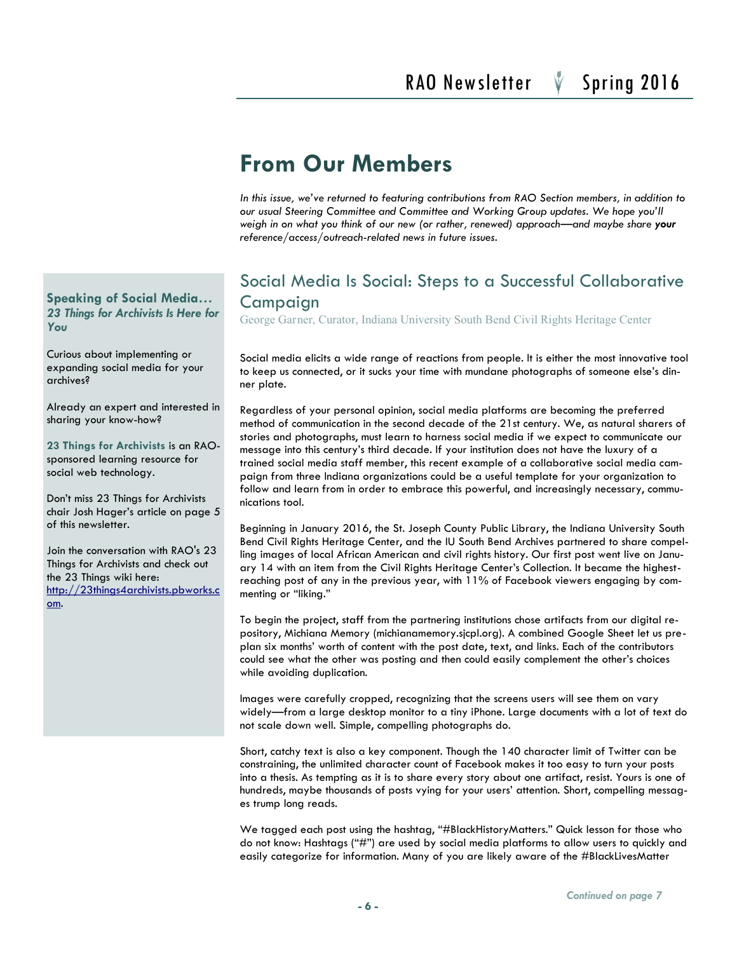### **From Our Members**

*In this issue, we've returned to featuring contributions from RAO Section members, in addition to our usual Steering Committee and Committee and Working Group updates. We hope you'll weigh in on what you think of our new (or rather, renewed) approach—and maybe share your reference/access/outreach-related news in future issues.*

#### Social Media Is Social: Steps to a Successful Collaborative Campaign

George Garner, Curator, Indiana University South Bend Civil Rights Heritage Center

Social media elicits a wide range of reactions from people. It is either the most innovative tool to keep us connected, or it sucks your time with mundane photographs of someone else's dinner plate.

Regardless of your personal opinion, social media platforms are becoming the preferred method of communication in the second decade of the 21st century. We, as natural sharers of stories and photographs, must learn to harness social media if we expect to communicate our message into this century's third decade. If your institution does not have the luxury of a trained social media staff member, this recent example of a collaborative social media campaign from three Indiana organizations could be a useful template for your organization to follow and learn from in order to embrace this powerful, and increasingly necessary, communications tool.

Beginning in January 2016, the St. Joseph County Public Library, the Indiana University South Bend Civil Rights Heritage Center, and the IU South Bend Archives partnered to share compelling images of local African American and civil rights history. Our first post went live on January 14 with an item from the Civil Rights Heritage Center's Collection. It became the highestreaching post of any in the previous year, with 11% of Facebook viewers engaging by commenting or "liking."

To begin the project, staff from the partnering institutions chose artifacts from our digital repository, Michiana Memory (michianamemory.sjcpl.org). A combined Google Sheet let us preplan six months' worth of content with the post date, text, and links. Each of the contributors could see what the other was posting and then could easily complement the other's choices while avoiding duplication.

Images were carefully cropped, recognizing that the screens users will see them on vary widely—from a large desktop monitor to a tiny iPhone. Large documents with a lot of text do not scale down well. Simple, compelling photographs do.

Short, catchy text is also a key component. Though the 140 character limit of Twitter can be constraining, the unlimited character count of Facebook makes it too easy to turn your posts into a thesis. As tempting as it is to share every story about one artifact, resist. Yours is one of hundreds, maybe thousands of posts vying for your users' attention. Short, compelling messages trump long reads.

We tagged each post using the hashtag, "#BlackHistoryMatters." Quick lesson for those who do not know: Hashtags ("#") are used by social media platforms to allow users to quickly and easily categorize for information. Many of you are likely aware of the #BlackLivesMatter

**Speaking of Social Media…** *23 Things for Archivists Is Here for You*

Curious about implementing or expanding social media for your archives?

Already an expert and interested in sharing your know-how?

**23 Things for Archivists** is an RAOsponsored learning resource for social web technology.

Don't miss 23 Things for Archivists chair Josh Hager's article on page 5 of this newsletter.

Join the conversation with RAO's 23 Things for Archivists and check out the 23 Things wiki here: [http://23things4archivists.pbworks.c](http://23things4archivists.pbworks.com) [om.](http://23things4archivists.pbworks.com)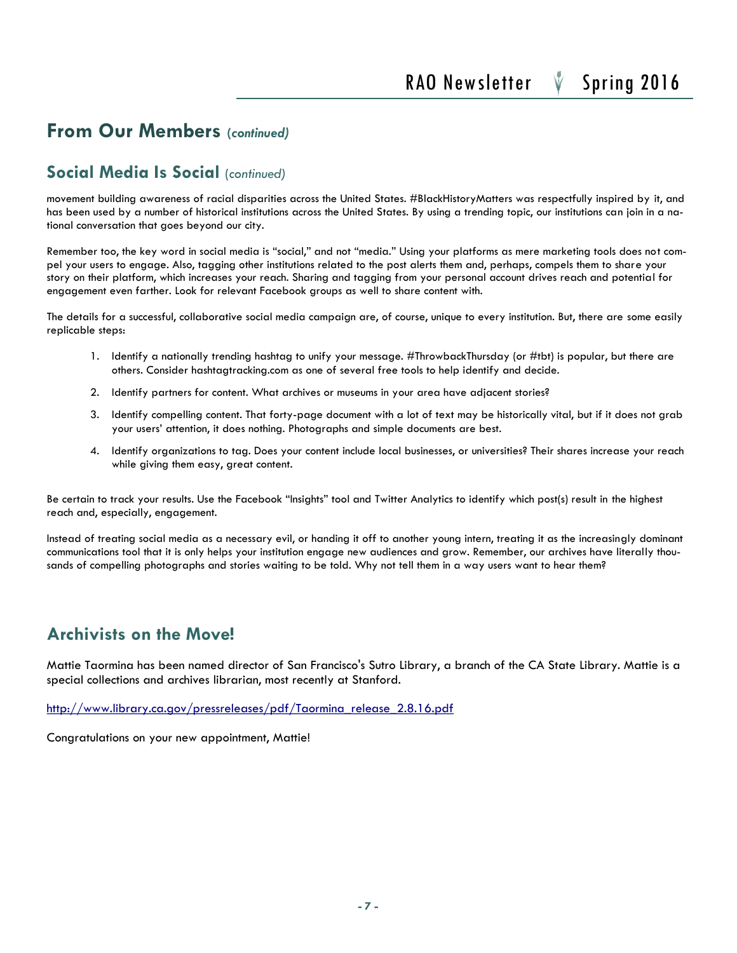#### **From Our Members (***continued)*

#### **Social Media Is Social** (*continued)*

movement building awareness of racial disparities across the United States. #BlackHistoryMatters was respectfully inspired by it, and has been used by a number of historical institutions across the United States. By using a trending topic, our institutions can join in a national conversation that goes beyond our city.

Remember too, the key word in social media is "social," and not "media." Using your platforms as mere marketing tools does not compel your users to engage. Also, tagging other institutions related to the post alerts them and, perhaps, compels them to share your story on their platform, which increases your reach. Sharing and tagging from your personal account drives reach and potential for engagement even farther. Look for relevant Facebook groups as well to share content with.

The details for a successful, collaborative social media campaign are, of course, unique to every institution. But, there are some easily replicable steps:

- 1. Identify a nationally trending hashtag to unify your message. #ThrowbackThursday (or #tbt) is popular, but there are others. Consider hashtagtracking.com as one of several free tools to help identify and decide.
- 2. Identify partners for content. What archives or museums in your area have adjacent stories?
- 3. Identify compelling content. That forty-page document with a lot of text may be historically vital, but if it does not grab your users' attention, it does nothing. Photographs and simple documents are best.
- 4. Identify organizations to tag. Does your content include local businesses, or universities? Their shares increase your reach while giving them easy, great content.

Be certain to track your results. Use the Facebook "Insights" tool and Twitter Analytics to identify which post(s) result in the highest reach and, especially, engagement.

Instead of treating social media as a necessary evil, or handing it off to another young intern, treating it as the increasingly dominant communications tool that it is only helps your institution engage new audiences and grow. Remember, our archives have literally thousands of compelling photographs and stories waiting to be told. Why not tell them in a way users want to hear them?

#### **Archivists on the Move!**

Mattie Taormina has been named director of San Francisco's Sutro Library, a branch of the CA State Library. Mattie is a special collections and archives librarian, most recently at Stanford.

[http://www.library.ca.gov/pressreleases/pdf/Taormina\\_release\\_2.8.16.pdf](http://www.library.ca.gov/pressreleases/pdf/Taormina_release_2.8.16.pdf)

Congratulations on your new appointment, Mattie!